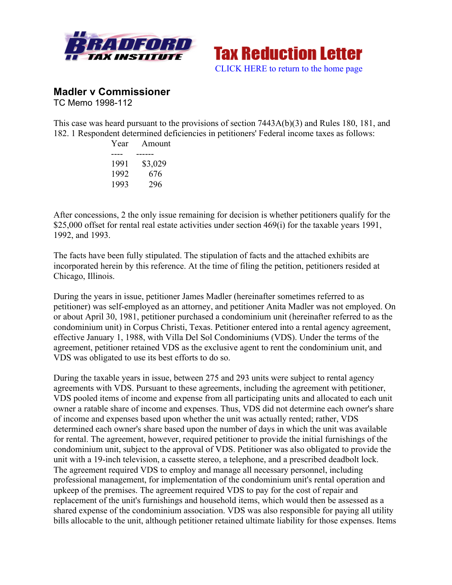



## **Madler v Commissioner**

TC Memo 1998-112

This case was heard pursuant to the provisions of section 7443A(b)(3) and Rules 180, 181, and 182. 1 Respondent determined deficiencies in petitioners' Federal income taxes as follows:

| Amount  |
|---------|
|         |
| \$3,029 |
| 676     |
| 296     |
|         |

After concessions, 2 the only issue remaining for decision is whether petitioners qualify for the \$25,000 offset for rental real estate activities under section 469(i) for the taxable years 1991, 1992, and 1993.

The facts have been fully stipulated. The stipulation of facts and the attached exhibits are incorporated herein by this reference. At the time of filing the petition, petitioners resided at Chicago, Illinois.

During the years in issue, petitioner James Madler (hereinafter sometimes referred to as petitioner) was self-employed as an attorney, and petitioner Anita Madler was not employed. On or about April 30, 1981, petitioner purchased a condominium unit (hereinafter referred to as the condominium unit) in Corpus Christi, Texas. Petitioner entered into a rental agency agreement, effective January 1, 1988, with Villa Del Sol Condominiums (VDS). Under the terms of the agreement, petitioner retained VDS as the exclusive agent to rent the condominium unit, and VDS was obligated to use its best efforts to do so.

During the taxable years in issue, between 275 and 293 units were subject to rental agency agreements with VDS. Pursuant to these agreements, including the agreement with petitioner, VDS pooled items of income and expense from all participating units and allocated to each unit owner a ratable share of income and expenses. Thus, VDS did not determine each owner's share of income and expenses based upon whether the unit was actually rented; rather, VDS determined each owner's share based upon the number of days in which the unit was available for rental. The agreement, however, required petitioner to provide the initial furnishings of the condominium unit, subject to the approval of VDS. Petitioner was also obligated to provide the unit with a 19-inch television, a cassette stereo, a telephone, and a prescribed deadbolt lock. The agreement required VDS to employ and manage all necessary personnel, including professional management, for implementation of the condominium unit's rental operation and upkeep of the premises. The agreement required VDS to pay for the cost of repair and replacement of the unit's furnishings and household items, which would then be assessed as a shared expense of the condominium association. VDS was also responsible for paying all utility bills allocable to the unit, although petitioner retained ultimate liability for those expenses. Items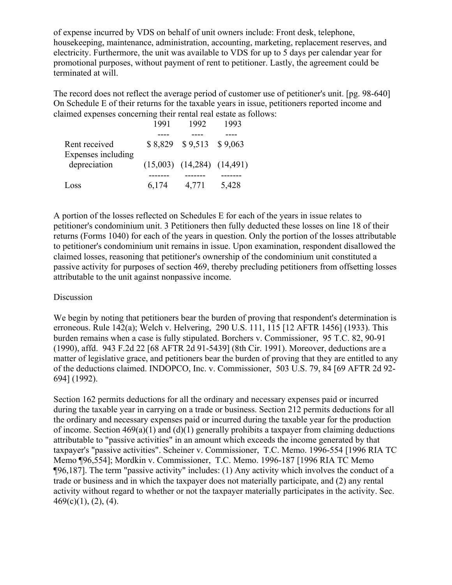of expense incurred by VDS on behalf of unit owners include: Front desk, telephone, housekeeping, maintenance, administration, accounting, marketing, replacement reserves, and electricity. Furthermore, the unit was available to VDS for up to 5 days per calendar year for promotional purposes, without payment of rent to petitioner. Lastly, the agreement could be terminated at will.

The record does not reflect the average period of customer use of petitioner's unit. [pg. 98-640] On Schedule E of their returns for the taxable years in issue, petitioners reported income and claimed expenses concerning their rental real estate as follows:

|                                    | 1991  | 1992                             | 1993  |
|------------------------------------|-------|----------------------------------|-------|
|                                    |       |                                  |       |
| Rent received                      |       | $$8,829$ $$9,513$ $$9,063$       |       |
| Expenses including<br>depreciation |       | $(15,003)$ $(14,284)$ $(14,491)$ |       |
|                                    |       |                                  |       |
| Loss                               | 6,174 | 4,771                            | 5,428 |

A portion of the losses reflected on Schedules E for each of the years in issue relates to petitioner's condominium unit. 3 Petitioners then fully deducted these losses on line 18 of their returns (Forms 1040) for each of the years in question. Only the portion of the losses attributable to petitioner's condominium unit remains in issue. Upon examination, respondent disallowed the claimed losses, reasoning that petitioner's ownership of the condominium unit constituted a passive activity for purposes of section 469, thereby precluding petitioners from offsetting losses attributable to the unit against nonpassive income.

## Discussion

We begin by noting that petitioners bear the burden of proving that respondent's determination is erroneous. Rule 142(a); Welch v. Helvering, 290 U.S. 111, 115 [12 AFTR 1456] (1933). This burden remains when a case is fully stipulated. Borchers v. Commissioner, 95 T.C. 82, 90-91 (1990), affd. 943 F.2d 22 [68 AFTR 2d 91-5439] (8th Cir. 1991). Moreover, deductions are a matter of legislative grace, and petitioners bear the burden of proving that they are entitled to any of the deductions claimed. INDOPCO, Inc. v. Commissioner, 503 U.S. 79, 84 [69 AFTR 2d 92- 694] (1992).

Section 162 permits deductions for all the ordinary and necessary expenses paid or incurred during the taxable year in carrying on a trade or business. Section 212 permits deductions for all the ordinary and necessary expenses paid or incurred during the taxable year for the production of income. Section  $469(a)(1)$  and  $(d)(1)$  generally prohibits a taxpayer from claiming deductions attributable to "passive activities" in an amount which exceeds the income generated by that taxpayer's "passive activities". Scheiner v. Commissioner, T.C. Memo. 1996-554 [1996 RIA TC Memo ¶96,554]; Mordkin v. Commissioner, T.C. Memo. 1996-187 [1996 RIA TC Memo ¶96,187]. The term "passive activity" includes: (1) Any activity which involves the conduct of a trade or business and in which the taxpayer does not materially participate, and (2) any rental activity without regard to whether or not the taxpayer materially participates in the activity. Sec.  $469(c)(1)$ ,  $(2)$ ,  $(4)$ .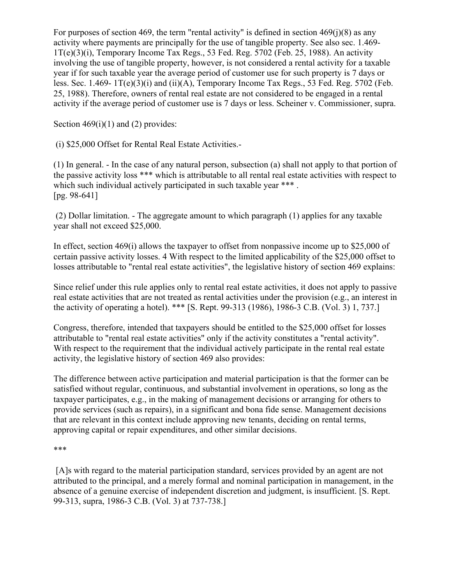For purposes of section 469, the term "rental activity" is defined in section  $469(j)(8)$  as any activity where payments are principally for the use of tangible property. See also sec. 1.469-  $1T(e)(3)(i)$ , Temporary Income Tax Regs., 53 Fed. Reg. 5702 (Feb. 25, 1988). An activity involving the use of tangible property, however, is not considered a rental activity for a taxable year if for such taxable year the average period of customer use for such property is 7 days or less. Sec.  $1.469 - 1T(e)(3)(i)$  and  $(ii)(A)$ , Temporary Income Tax Regs., 53 Fed. Reg. 5702 (Feb. 25, 1988). Therefore, owners of rental real estate are not considered to be engaged in a rental activity if the average period of customer use is 7 days or less. Scheiner v. Commissioner, supra.

Section  $469(i)(1)$  and (2) provides:

(i) \$25,000 Offset for Rental Real Estate Activities.-

(1) In general. - In the case of any natural person, subsection (a) shall not apply to that portion of the passive activity loss \*\*\* which is attributable to all rental real estate activities with respect to which such individual actively participated in such taxable year \*\*\*. [pg. 98-641]

(2) Dollar limitation. - The aggregate amount to which paragraph (1) applies for any taxable year shall not exceed \$25,000.

In effect, section 469(i) allows the taxpayer to offset from nonpassive income up to \$25,000 of certain passive activity losses. 4 With respect to the limited applicability of the \$25,000 offset to losses attributable to "rental real estate activities", the legislative history of section 469 explains:

Since relief under this rule applies only to rental real estate activities, it does not apply to passive real estate activities that are not treated as rental activities under the provision (e.g., an interest in the activity of operating a hotel). \*\*\* [S. Rept. 99-313 (1986), 1986-3 C.B. (Vol. 3) 1, 737.]

Congress, therefore, intended that taxpayers should be entitled to the \$25,000 offset for losses attributable to "rental real estate activities" only if the activity constitutes a "rental activity". With respect to the requirement that the individual actively participate in the rental real estate activity, the legislative history of section 469 also provides:

The difference between active participation and material participation is that the former can be satisfied without regular, continuous, and substantial involvement in operations, so long as the taxpayer participates, e.g., in the making of management decisions or arranging for others to provide services (such as repairs), in a significant and bona fide sense. Management decisions that are relevant in this context include approving new tenants, deciding on rental terms, approving capital or repair expenditures, and other similar decisions.

\*\*\*

[A]s with regard to the material participation standard, services provided by an agent are not attributed to the principal, and a merely formal and nominal participation in management, in the absence of a genuine exercise of independent discretion and judgment, is insufficient. [S. Rept. 99-313, supra, 1986-3 C.B. (Vol. 3) at 737-738.]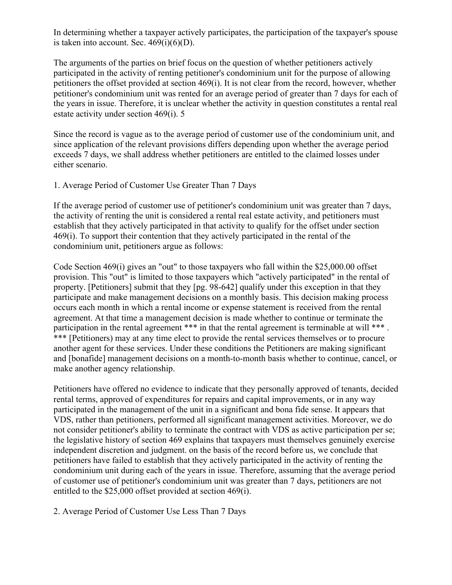In determining whether a taxpayer actively participates, the participation of the taxpayer's spouse is taken into account. Sec.  $469(i)(6)(D)$ .

The arguments of the parties on brief focus on the question of whether petitioners actively participated in the activity of renting petitioner's condominium unit for the purpose of allowing petitioners the offset provided at section 469(i). It is not clear from the record, however, whether petitioner's condominium unit was rented for an average period of greater than 7 days for each of the years in issue. Therefore, it is unclear whether the activity in question constitutes a rental real estate activity under section 469(i). 5

Since the record is vague as to the average period of customer use of the condominium unit, and since application of the relevant provisions differs depending upon whether the average period exceeds 7 days, we shall address whether petitioners are entitled to the claimed losses under either scenario.

## 1. Average Period of Customer Use Greater Than 7 Days

If the average period of customer use of petitioner's condominium unit was greater than 7 days, the activity of renting the unit is considered a rental real estate activity, and petitioners must establish that they actively participated in that activity to qualify for the offset under section 469(i). To support their contention that they actively participated in the rental of the condominium unit, petitioners argue as follows:

Code Section 469(i) gives an "out" to those taxpayers who fall within the \$25,000.00 offset provision. This "out" is limited to those taxpayers which "actively participated" in the rental of property. [Petitioners] submit that they [pg. 98-642] qualify under this exception in that they participate and make management decisions on a monthly basis. This decision making process occurs each month in which a rental income or expense statement is received from the rental agreement. At that time a management decision is made whether to continue or terminate the participation in the rental agreement \*\*\* in that the rental agreement is terminable at will \*\*\*. \*\*\* [Petitioners) may at any time elect to provide the rental services themselves or to procure another agent for these services. Under these conditions the Petitioners are making significant and [bonafide] management decisions on a month-to-month basis whether to continue, cancel, or make another agency relationship.

Petitioners have offered no evidence to indicate that they personally approved of tenants, decided rental terms, approved of expenditures for repairs and capital improvements, or in any way participated in the management of the unit in a significant and bona fide sense. It appears that VDS, rather than petitioners, performed all significant management activities. Moreover, we do not consider petitioner's ability to terminate the contract with VDS as active participation per se; the legislative history of section 469 explains that taxpayers must themselves genuinely exercise independent discretion and judgment. on the basis of the record before us, we conclude that petitioners have failed to establish that they actively participated in the activity of renting the condominium unit during each of the years in issue. Therefore, assuming that the average period of customer use of petitioner's condominium unit was greater than 7 days, petitioners are not entitled to the \$25,000 offset provided at section 469(i).

2. Average Period of Customer Use Less Than 7 Days